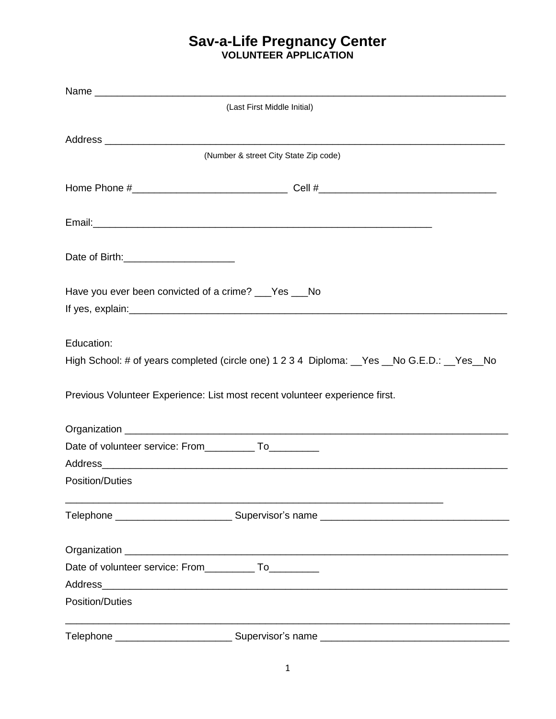|                                                              | (Last First Middle Initial)                                                                                                                                                                                                    |
|--------------------------------------------------------------|--------------------------------------------------------------------------------------------------------------------------------------------------------------------------------------------------------------------------------|
|                                                              |                                                                                                                                                                                                                                |
|                                                              | (Number & street City State Zip code)                                                                                                                                                                                          |
|                                                              |                                                                                                                                                                                                                                |
|                                                              |                                                                                                                                                                                                                                |
|                                                              |                                                                                                                                                                                                                                |
| Have you ever been convicted of a crime? ___Yes ___No        |                                                                                                                                                                                                                                |
|                                                              |                                                                                                                                                                                                                                |
| Education:                                                   |                                                                                                                                                                                                                                |
|                                                              | High School: # of years completed (circle one) 1 2 3 4 Diploma: _Yes _No G.E.D.: _Yes _No                                                                                                                                      |
|                                                              | Previous Volunteer Experience: List most recent volunteer experience first.                                                                                                                                                    |
|                                                              |                                                                                                                                                                                                                                |
| Date of volunteer service: From _____________ To____________ |                                                                                                                                                                                                                                |
|                                                              | Address Address Address Address Address Address Address Address Address Address Address Address Address Address Address Address Address Address Address Address Address Address Address Address Address Address Address Addres |
| Position/Duties                                              |                                                                                                                                                                                                                                |
|                                                              |                                                                                                                                                                                                                                |
|                                                              |                                                                                                                                                                                                                                |
| Date of volunteer service: From______________ To____________ |                                                                                                                                                                                                                                |
|                                                              | Address and the contract of the contract of the contract of the contract of the contract of the contract of the                                                                                                                |
| <b>Position/Duties</b>                                       |                                                                                                                                                                                                                                |
| Telephone __________________________                         |                                                                                                                                                                                                                                |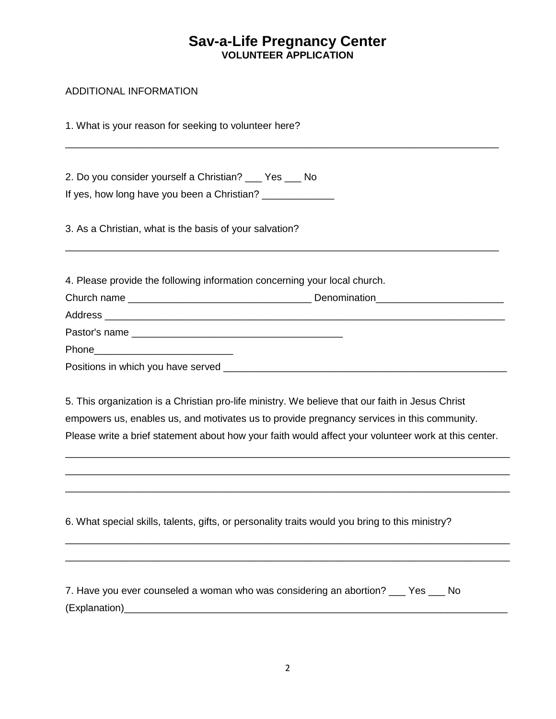\_\_\_\_\_\_\_\_\_\_\_\_\_\_\_\_\_\_\_\_\_\_\_\_\_\_\_\_\_\_\_\_\_\_\_\_\_\_\_\_\_\_\_\_\_\_\_\_\_\_\_\_\_\_\_\_\_\_\_\_\_\_\_\_\_\_\_\_\_\_\_\_\_\_\_\_\_\_

#### ADDITIONAL INFORMATION

1. What is your reason for seeking to volunteer here?

2. Do you consider yourself a Christian? \_\_\_ Yes \_\_\_ No If yes, how long have you been a Christian? \_\_\_\_\_\_\_\_\_\_\_\_\_\_

3. As a Christian, what is the basis of your salvation?

4. Please provide the following information concerning your local church.

| Pastor's name                      |  |
|------------------------------------|--|
|                                    |  |
| Positions in which you have served |  |

\_\_\_\_\_\_\_\_\_\_\_\_\_\_\_\_\_\_\_\_\_\_\_\_\_\_\_\_\_\_\_\_\_\_\_\_\_\_\_\_\_\_\_\_\_\_\_\_\_\_\_\_\_\_\_\_\_\_\_\_\_\_\_\_\_\_\_\_\_\_\_\_\_\_\_\_\_\_

5. This organization is a Christian pro-life ministry. We believe that our faith in Jesus Christ empowers us, enables us, and motivates us to provide pregnancy services in this community. Please write a brief statement about how your faith would affect your volunteer work at this center.

\_\_\_\_\_\_\_\_\_\_\_\_\_\_\_\_\_\_\_\_\_\_\_\_\_\_\_\_\_\_\_\_\_\_\_\_\_\_\_\_\_\_\_\_\_\_\_\_\_\_\_\_\_\_\_\_\_\_\_\_\_\_\_\_\_\_\_\_\_\_\_\_\_\_\_\_\_\_\_\_ \_\_\_\_\_\_\_\_\_\_\_\_\_\_\_\_\_\_\_\_\_\_\_\_\_\_\_\_\_\_\_\_\_\_\_\_\_\_\_\_\_\_\_\_\_\_\_\_\_\_\_\_\_\_\_\_\_\_\_\_\_\_\_\_\_\_\_\_\_\_\_\_\_\_\_\_\_\_\_\_ \_\_\_\_\_\_\_\_\_\_\_\_\_\_\_\_\_\_\_\_\_\_\_\_\_\_\_\_\_\_\_\_\_\_\_\_\_\_\_\_\_\_\_\_\_\_\_\_\_\_\_\_\_\_\_\_\_\_\_\_\_\_\_\_\_\_\_\_\_\_\_\_\_\_\_\_\_\_\_\_

\_\_\_\_\_\_\_\_\_\_\_\_\_\_\_\_\_\_\_\_\_\_\_\_\_\_\_\_\_\_\_\_\_\_\_\_\_\_\_\_\_\_\_\_\_\_\_\_\_\_\_\_\_\_\_\_\_\_\_\_\_\_\_\_\_\_\_\_\_\_\_\_\_\_\_\_\_\_\_\_ \_\_\_\_\_\_\_\_\_\_\_\_\_\_\_\_\_\_\_\_\_\_\_\_\_\_\_\_\_\_\_\_\_\_\_\_\_\_\_\_\_\_\_\_\_\_\_\_\_\_\_\_\_\_\_\_\_\_\_\_\_\_\_\_\_\_\_\_\_\_\_\_\_\_\_\_\_\_\_\_

6. What special skills, talents, gifts, or personality traits would you bring to this ministry?

| 7. Have you ever counseled a woman who was considering an abortion? ___ Yes _ | - No |  |
|-------------------------------------------------------------------------------|------|--|
| (Explanation)                                                                 |      |  |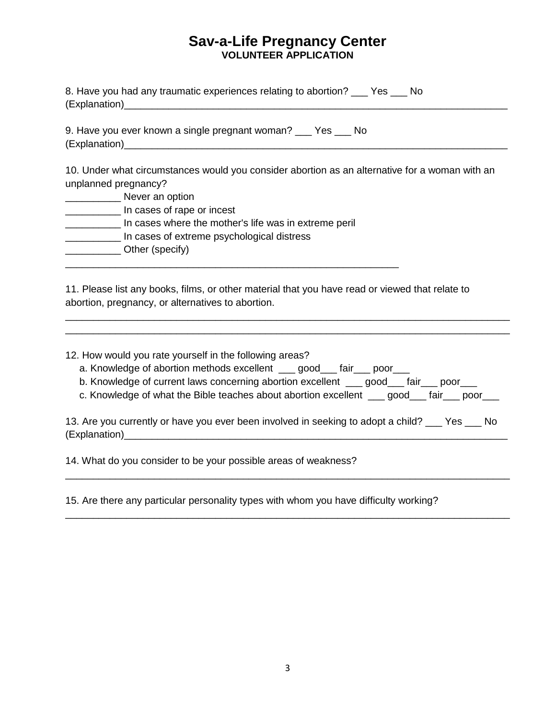| 8. Have you had any traumatic experiences relating to abortion? ___ Yes ___ No                                                                                                                                                                                                                                             |  |  |  |
|----------------------------------------------------------------------------------------------------------------------------------------------------------------------------------------------------------------------------------------------------------------------------------------------------------------------------|--|--|--|
| 9. Have you ever known a single pregnant woman? __ Yes __ No                                                                                                                                                                                                                                                               |  |  |  |
| 10. Under what circumstances would you consider abortion as an alternative for a woman with an<br>unplanned pregnancy?<br>________________ Never an option<br>In cases of rape or incest                                                                                                                                   |  |  |  |
| In cases where the mother's life was in extreme peril<br>_____________ In cases of extreme psychological distress<br>______________Other (specify)                                                                                                                                                                         |  |  |  |
| 11. Please list any books, films, or other material that you have read or viewed that relate to<br>abortion, pregnancy, or alternatives to abortion.                                                                                                                                                                       |  |  |  |
| 12. How would you rate yourself in the following areas?<br>a. Knowledge of abortion methods excellent ___ good___ fair___ poor___<br>b. Knowledge of current laws concerning abortion excellent ___ good___ fair___ poor___<br>c. Knowledge of what the Bible teaches about abortion excellent ___ good___ fair___ poor___ |  |  |  |
| 13. Are you currently or have you ever been involved in seeking to adopt a child? ___ Yes ___ No                                                                                                                                                                                                                           |  |  |  |
| 14. What do you consider to be your possible areas of weakness?                                                                                                                                                                                                                                                            |  |  |  |

15. Are there any particular personality types with whom you have difficulty working?

\_\_\_\_\_\_\_\_\_\_\_\_\_\_\_\_\_\_\_\_\_\_\_\_\_\_\_\_\_\_\_\_\_\_\_\_\_\_\_\_\_\_\_\_\_\_\_\_\_\_\_\_\_\_\_\_\_\_\_\_\_\_\_\_\_\_\_\_\_\_\_\_\_\_\_\_\_\_\_\_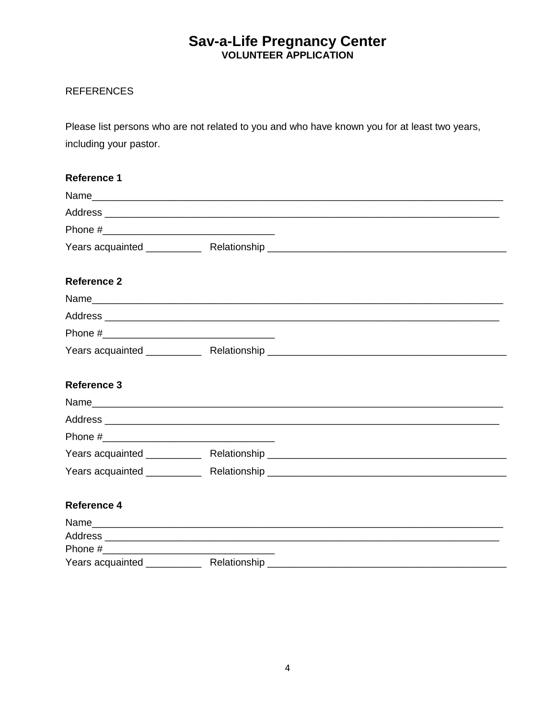#### **REFERENCES**

Please list persons who are not related to you and who have known you for at least two years, including your pastor.

# **Reference 1** Address and the contract of the contract of the contract of the contract of the contract of the contract of the contract of the contract of the contract of the contract of the contract of the contract of the contract of th Years acquainted \_\_\_\_\_\_\_\_\_\_\_\_\_\_\_ Relationship \_\_\_\_\_\_\_\_\_\_\_\_\_\_\_\_\_\_\_\_\_\_\_\_\_\_\_\_\_\_\_\_\_\_\_ Reference 2 Reference 3 Address and the contract of the contract of the contract of the contract of the contract of the contract of the contract of the contract of the contract of the contract of the contract of the contract of the contract of th Phone # Reference 4 Name and the contract of the contract of the contract of the contract of the contract of the contract of the contract of the contract of the contract of the contract of the contract of the contract of the contract of the c Address and the contract of the contract of the contract of the contract of the contract of the contract of the contract of the contract of the contract of the contract of the contract of the contract of the contract of th

| Phone #          |              |
|------------------|--------------|
| Years acquainted | Relationship |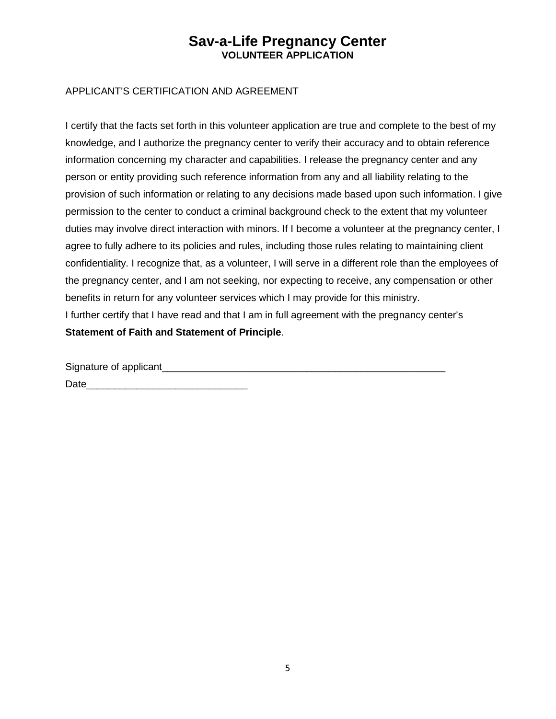#### APPLICANT'S CERTIFICATION AND AGREEMENT

I certify that the facts set forth in this volunteer application are true and complete to the best of my knowledge, and I authorize the pregnancy center to verify their accuracy and to obtain reference information concerning my character and capabilities. I release the pregnancy center and any person or entity providing such reference information from any and all liability relating to the provision of such information or relating to any decisions made based upon such information. I give permission to the center to conduct a criminal background check to the extent that my volunteer duties may involve direct interaction with minors. If I become a volunteer at the pregnancy center, I agree to fully adhere to its policies and rules, including those rules relating to maintaining client confidentiality. I recognize that, as a volunteer, I will serve in a different role than the employees of the pregnancy center, and I am not seeking, nor expecting to receive, any compensation or other benefits in return for any volunteer services which I may provide for this ministry. I further certify that I have read and that I am in full agreement with the pregnancy center's **Statement of Faith and Statement of Principle**.

Signature of applicant\_\_\_\_\_\_\_\_\_\_\_\_\_\_\_\_\_\_\_\_\_\_\_\_\_\_\_\_\_\_\_\_\_\_\_\_\_\_\_\_\_\_\_\_\_\_\_\_\_\_\_

Date\_\_\_\_\_\_\_\_\_\_\_\_\_\_\_\_\_\_\_\_\_\_\_\_\_\_\_\_\_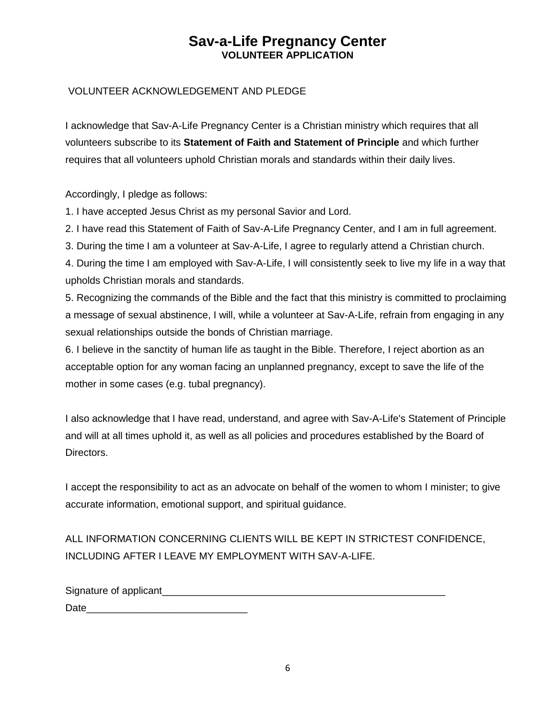#### VOLUNTEER ACKNOWLEDGEMENT AND PLEDGE

I acknowledge that Sav-A-Life Pregnancy Center is a Christian ministry which requires that all volunteers subscribe to its **Statement of Faith and Statement of Principle** and which further requires that all volunteers uphold Christian morals and standards within their daily lives.

Accordingly, I pledge as follows:

1. I have accepted Jesus Christ as my personal Savior and Lord.

2. I have read this Statement of Faith of Sav-A-Life Pregnancy Center, and I am in full agreement.

3. During the time I am a volunteer at Sav-A-Life, I agree to regularly attend a Christian church.

4. During the time I am employed with Sav-A-Life, I will consistently seek to live my life in a way that upholds Christian morals and standards.

5. Recognizing the commands of the Bible and the fact that this ministry is committed to proclaiming a message of sexual abstinence, I will, while a volunteer at Sav-A-Life, refrain from engaging in any sexual relationships outside the bonds of Christian marriage.

6. I believe in the sanctity of human life as taught in the Bible. Therefore, I reject abortion as an acceptable option for any woman facing an unplanned pregnancy, except to save the life of the mother in some cases (e.g. tubal pregnancy).

I also acknowledge that I have read, understand, and agree with Sav-A-Life's Statement of Principle and will at all times uphold it, as well as all policies and procedures established by the Board of Directors.

I accept the responsibility to act as an advocate on behalf of the women to whom I minister; to give accurate information, emotional support, and spiritual guidance.

ALL INFORMATION CONCERNING CLIENTS WILL BE KEPT IN STRICTEST CONFIDENCE, INCLUDING AFTER I LEAVE MY EMPLOYMENT WITH SAV-A-LIFE.

| Signature of applicant_ |  |
|-------------------------|--|
| Date                    |  |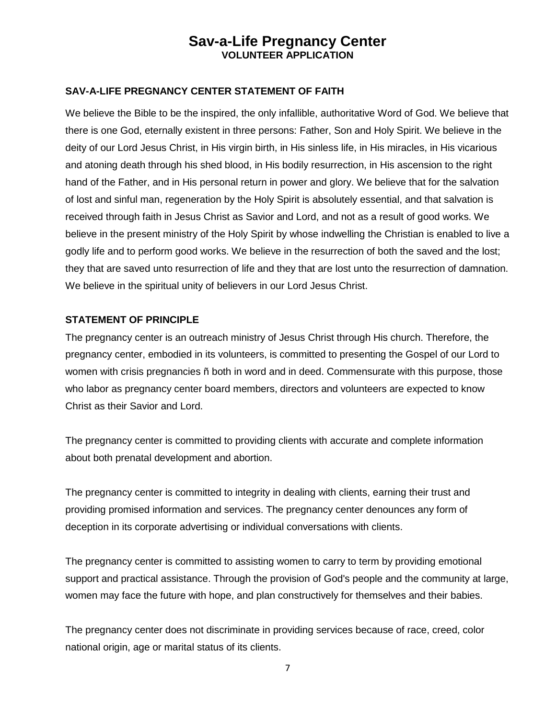#### **SAV-A-LIFE PREGNANCY CENTER STATEMENT OF FAITH**

We believe the Bible to be the inspired, the only infallible, authoritative Word of God. We believe that there is one God, eternally existent in three persons: Father, Son and Holy Spirit. We believe in the deity of our Lord Jesus Christ, in His virgin birth, in His sinless life, in His miracles, in His vicarious and atoning death through his shed blood, in His bodily resurrection, in His ascension to the right hand of the Father, and in His personal return in power and glory. We believe that for the salvation of lost and sinful man, regeneration by the Holy Spirit is absolutely essential, and that salvation is received through faith in Jesus Christ as Savior and Lord, and not as a result of good works. We believe in the present ministry of the Holy Spirit by whose indwelling the Christian is enabled to live a godly life and to perform good works. We believe in the resurrection of both the saved and the lost; they that are saved unto resurrection of life and they that are lost unto the resurrection of damnation. We believe in the spiritual unity of believers in our Lord Jesus Christ.

#### **STATEMENT OF PRINCIPLE**

The pregnancy center is an outreach ministry of Jesus Christ through His church. Therefore, the pregnancy center, embodied in its volunteers, is committed to presenting the Gospel of our Lord to women with crisis pregnancies ñ both in word and in deed. Commensurate with this purpose, those who labor as pregnancy center board members, directors and volunteers are expected to know Christ as their Savior and Lord.

The pregnancy center is committed to providing clients with accurate and complete information about both prenatal development and abortion.

The pregnancy center is committed to integrity in dealing with clients, earning their trust and providing promised information and services. The pregnancy center denounces any form of deception in its corporate advertising or individual conversations with clients.

The pregnancy center is committed to assisting women to carry to term by providing emotional support and practical assistance. Through the provision of God's people and the community at large, women may face the future with hope, and plan constructively for themselves and their babies.

The pregnancy center does not discriminate in providing services because of race, creed, color national origin, age or marital status of its clients.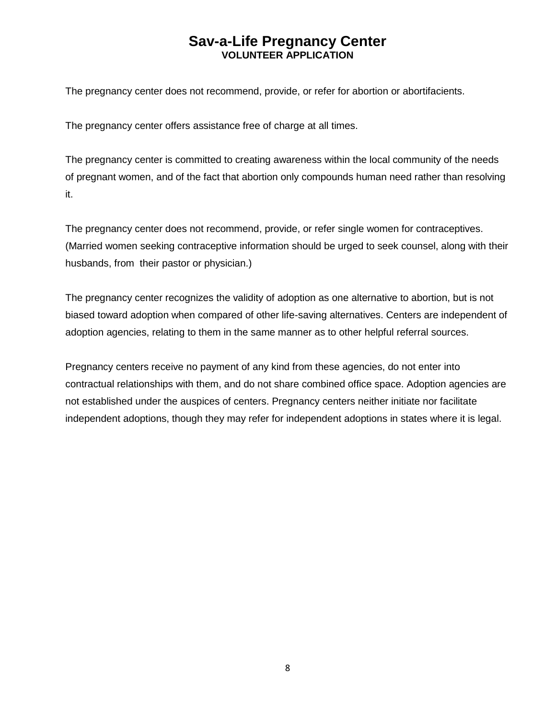The pregnancy center does not recommend, provide, or refer for abortion or abortifacients.

The pregnancy center offers assistance free of charge at all times.

The pregnancy center is committed to creating awareness within the local community of the needs of pregnant women, and of the fact that abortion only compounds human need rather than resolving it.

The pregnancy center does not recommend, provide, or refer single women for contraceptives. (Married women seeking contraceptive information should be urged to seek counsel, along with their husbands, from their pastor or physician.)

The pregnancy center recognizes the validity of adoption as one alternative to abortion, but is not biased toward adoption when compared of other life-saving alternatives. Centers are independent of adoption agencies, relating to them in the same manner as to other helpful referral sources.

Pregnancy centers receive no payment of any kind from these agencies, do not enter into contractual relationships with them, and do not share combined office space. Adoption agencies are not established under the auspices of centers. Pregnancy centers neither initiate nor facilitate independent adoptions, though they may refer for independent adoptions in states where it is legal.